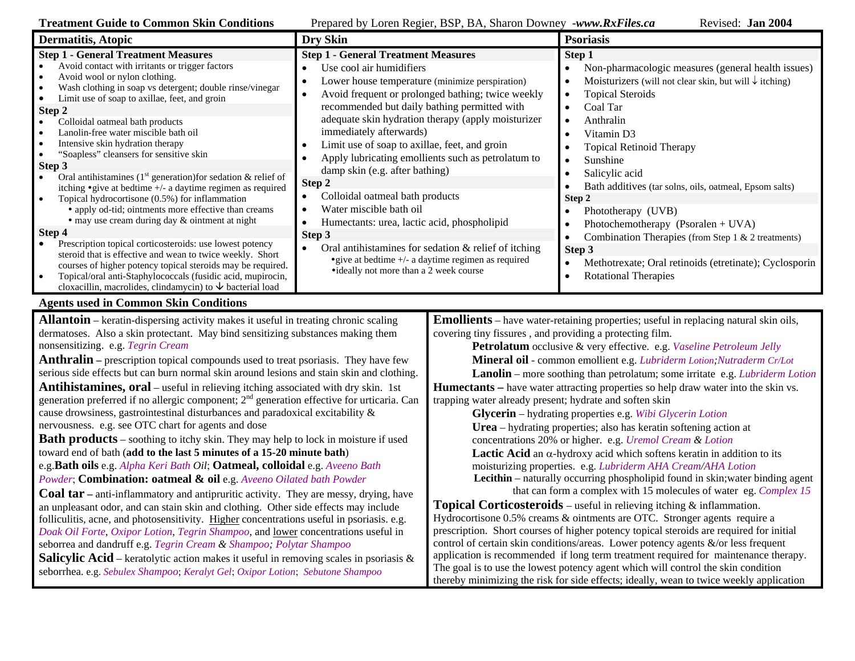**Treatment Guide to Common Skin Conditions** Prepared by Loren Regier, BSP, BA, Sharon Downey -*www.RxFiles.ca* Revised: **Jan 2004** 

| Treatment Guide to Common Skin Conditions<br><b>Dermatitis, Atopic</b>                                                                                                                                                                                                                                                                                                                                                                                                                                                                                                                                                                                                                                                                                                                                                                                                                                                                                                                                                                                                                                                                                                                                                                                                                                                                                                                                                                                                                                                                                                                                                                                                                                       | <b>Dry Skin</b>                                                                                                                                                                                                                                                                                                                                                                                                                                                                              | Prepared by Loren Regier, BSP, BA, Sharon Downey -www. <b>KXP ues.ca</b>                                                                                                                                                                                                                                                                                                                                                                                                                                                                                                                                                                                                                                                                                                                                                                                                                                                                                                                                                                                                                                                                                                                                                                                                                                                                                                                                                                                                                                                                                                                                                                                                                                     | Revised: <b>Jan 2004</b><br>Psoriasis                                                                                                                                                                                                                                                                                                                                                                                                                                                                                                                                                   |  |  |
|--------------------------------------------------------------------------------------------------------------------------------------------------------------------------------------------------------------------------------------------------------------------------------------------------------------------------------------------------------------------------------------------------------------------------------------------------------------------------------------------------------------------------------------------------------------------------------------------------------------------------------------------------------------------------------------------------------------------------------------------------------------------------------------------------------------------------------------------------------------------------------------------------------------------------------------------------------------------------------------------------------------------------------------------------------------------------------------------------------------------------------------------------------------------------------------------------------------------------------------------------------------------------------------------------------------------------------------------------------------------------------------------------------------------------------------------------------------------------------------------------------------------------------------------------------------------------------------------------------------------------------------------------------------------------------------------------------------|----------------------------------------------------------------------------------------------------------------------------------------------------------------------------------------------------------------------------------------------------------------------------------------------------------------------------------------------------------------------------------------------------------------------------------------------------------------------------------------------|--------------------------------------------------------------------------------------------------------------------------------------------------------------------------------------------------------------------------------------------------------------------------------------------------------------------------------------------------------------------------------------------------------------------------------------------------------------------------------------------------------------------------------------------------------------------------------------------------------------------------------------------------------------------------------------------------------------------------------------------------------------------------------------------------------------------------------------------------------------------------------------------------------------------------------------------------------------------------------------------------------------------------------------------------------------------------------------------------------------------------------------------------------------------------------------------------------------------------------------------------------------------------------------------------------------------------------------------------------------------------------------------------------------------------------------------------------------------------------------------------------------------------------------------------------------------------------------------------------------------------------------------------------------------------------------------------------------|-----------------------------------------------------------------------------------------------------------------------------------------------------------------------------------------------------------------------------------------------------------------------------------------------------------------------------------------------------------------------------------------------------------------------------------------------------------------------------------------------------------------------------------------------------------------------------------------|--|--|
| <b>Step 1 - General Treatment Measures</b><br>Avoid contact with irritants or trigger factors<br>Avoid wool or nylon clothing.<br>Wash clothing in soap vs detergent; double rinse/vinegar<br>Limit use of soap to axillae, feet, and groin<br>$\bullet$<br>Step 2<br>Colloidal oatmeal bath products<br>$\bullet$<br>Lanolin-free water miscible bath oil<br>Intensive skin hydration therapy<br>$\bullet$<br>"Soapless" cleansers for sensitive skin<br>Step 3<br>Oral antihistamines ( $1st$ generation) for sedation & relief of<br>$\bullet$<br>itching • give at bedtime +/- a daytime regimen as required<br>Topical hydrocortisone (0.5%) for inflammation<br>$\bullet$<br>• apply od-tid; ointments more effective than creams<br>· may use cream during day & ointment at night<br>Step 4<br>Prescription topical corticosteroids: use lowest potency<br>steroid that is effective and wean to twice weekly. Short<br>courses of higher potency topical steroids may be required.<br>Topical/oral anti-Staphylococcals (fusidic acid, mupirocin,<br>$\bullet$<br>cloxacillin, macrolides, clindamycin) to ↓ bacterial load<br><b>Agents used in Common Skin Conditions</b>                                                                                                                                                                                                                                                                                                                                                                                                                                                                                                                         | <b>Step 1 - General Treatment Measures</b><br>Use cool air humidifiers<br>Lower house temperature (minimize perspiration)<br>recommended but daily bathing permitted with<br>immediately afterwards)<br>Limit use of soap to axillae, feet, and groin<br>damp skin (e.g. after bathing)<br>Step 2<br>Colloidal oatmeal bath products<br>$\bullet$<br>Water miscible bath oil<br>Humectants: urea, lactic acid, phospholipid<br>Step 3<br>$\bullet$<br>•ideally not more than a 2 week course | Avoid frequent or prolonged bathing; twice weekly<br>adequate skin hydration therapy (apply moisturizer<br>Apply lubricating emollients such as petrolatum to<br>Oral antihistamines for sedation & relief of itching<br>$\bullet$ give at bedtime +/- a daytime regimen as required                                                                                                                                                                                                                                                                                                                                                                                                                                                                                                                                                                                                                                                                                                                                                                                                                                                                                                                                                                                                                                                                                                                                                                                                                                                                                                                                                                                                                         | Step 1<br>Non-pharmacologic measures (general health issues)<br>Moisturizers (will not clear skin, but will $\downarrow$ itching)<br><b>Topical Steroids</b><br>$\bullet$<br>Coal Tar<br>Anthralin<br>Vitamin D3<br><b>Topical Retinoid Therapy</b><br>Sunshine<br>Salicylic acid<br>Bath additives (tar solns, oils, oatmeal, Epsom salts)<br>Step 2<br>Phototherapy (UVB)<br>Photochemotherapy (Psoralen + UVA)<br>Combination Therapies (from Step 1 & 2 treatments)<br>$\bullet$<br>Step 3<br>Methotrexate; Oral retinoids (etretinate); Cyclosporin<br><b>Rotational Therapies</b> |  |  |
| <b>Allantoin</b> – keratin-dispersing activity makes it useful in treating chronic scaling<br>dermatoses. Also a skin protectant. May bind sensitizing substances making them<br>nonsensitizing. e.g. Tegrin Cream<br><b>Anthralin</b> – prescription topical compounds used to treat psoriasis. They have few<br>serious side effects but can burn normal skin around lesions and stain skin and clothing.<br><b>Antihistamines, oral</b> – useful in relieving itching associated with dry skin. 1st<br>generation preferred if no allergic component; $2nd$ generation effective for urticaria. Can<br>cause drowsiness, gastrointestinal disturbances and paradoxical excitability &<br>nervousness. e.g. see OTC chart for agents and dose<br><b>Bath products</b> – soothing to itchy skin. They may help to lock in moisture if used<br>toward end of bath (add to the last 5 minutes of a 15-20 minute bath)<br>e.g. Bath oils e.g. Alpha Keri Bath Oil; Oatmeal, colloidal e.g. Aveeno Bath<br>Powder; Combination: oatmeal & oil e.g. Aveeno Oilated bath Powder<br><b>Coal tar</b> – anti-inflammatory and antipruritic activity. They are messy, drying, have<br>an unpleasant odor, and can stain skin and clothing. Other side effects may include<br>folliculitis, acne, and photosensitivity. Higher concentrations useful in psoriasis. e.g.<br>Doak Oil Forte, Oxipor Lotion, Tegrin Shampoo, and lower concentrations useful in<br>seborrea and dandruff e.g. Tegrin Cream & Shampoo; Polytar Shampoo<br><b>Salicylic Acid</b> – keratolytic action makes it useful in removing scales in psoriasis $\&$<br>seborrhea. e.g. Sebulex Shampoo; Keralyt Gel; Oxipor Lotion; Sebutone Shampoo |                                                                                                                                                                                                                                                                                                                                                                                                                                                                                              | <b>Emollients</b> – have water-retaining properties; useful in replacing natural skin oils,<br>covering tiny fissures, and providing a protecting film.<br>Petrolatum occlusive & very effective. e.g. Vaseline Petroleum Jelly<br>Mineral oil - common emollient e.g. Lubriderm Lotion; Nutraderm Cr/Lot<br><b>Lanolin</b> – more soothing than petrolatum; some irritate e.g. <i>Lubriderm Lotion</i><br><b>Humectants</b> – have water attracting properties so help draw water into the skin vs.<br>trapping water already present; hydrate and soften skin<br><b>Glycerin</b> – hydrating properties e.g. Wibi Glycerin Lotion<br><b>Urea</b> – hydrating properties; also has keratin softening action at<br>concentrations 20% or higher. e.g. Uremol Cream & Lotion<br><b>Lactic Acid</b> an $\alpha$ -hydroxy acid which softens keratin in addition to its<br>moisturizing properties. e.g. Lubriderm AHA Cream/AHA Lotion<br>Lecithin - naturally occurring phospholipid found in skin; water binding agent<br>that can form a complex with 15 molecules of water eg. Complex 15<br>Topical Corticosteroids - useful in relieving itching & inflammation.<br>Hydrocortisone 0.5% creams & ointments are OTC. Stronger agents require a<br>prescription. Short courses of higher potency topical steroids are required for initial<br>control of certain skin conditions/areas. Lower potency agents $\&$ /or less frequent<br>application is recommended if long term treatment required for maintenance therapy.<br>The goal is to use the lowest potency agent which will control the skin condition<br>thereby minimizing the risk for side effects; ideally, wean to twice weekly application |                                                                                                                                                                                                                                                                                                                                                                                                                                                                                                                                                                                         |  |  |